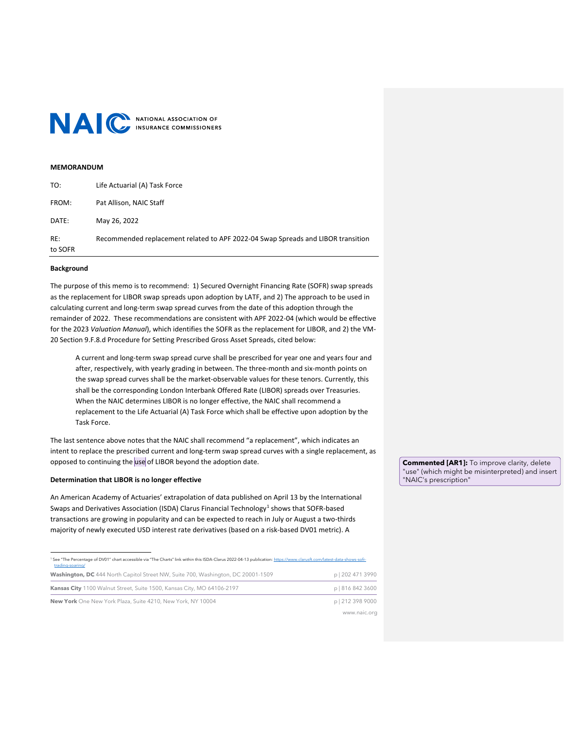

## **MEMORANDUM**

| TO:            | Life Actuarial (A) Task Force                                                    |
|----------------|----------------------------------------------------------------------------------|
| FROM:          | Pat Allison, NAIC Staff                                                          |
| DATE:          | May 26, 2022                                                                     |
| RE:<br>to SOFR | Recommended replacement related to APF 2022-04 Swap Spreads and LIBOR transition |

# **Background**

The purpose of this memo is to recommend: 1) Secured Overnight Financing Rate (SOFR) swap spreads as the replacement for LIBOR swap spreads upon adoption by LATF, and 2) The approach to be used in calculating current and long-term swap spread curves from the date of this adoption through the remainder of 2022. These recommendations are consistent with APF 2022-04 (which would be effective for the 2023 *Valuation Manual*), which identifies the SOFR as the replacement for LIBOR, and 2) the VM-20 Section 9.F.8.d Procedure for Setting Prescribed Gross Asset Spreads, cited below:

A current and long-term swap spread curve shall be prescribed for year one and years four and after, respectively, with yearly grading in between. The three-month and six-month points on the swap spread curves shall be the market-observable values for these tenors. Currently, this shall be the corresponding London Interbank Offered Rate (LIBOR) spreads over Treasuries. When the NAIC determines LIBOR is no longer effective, the NAIC shall recommend a replacement to the Life Actuarial (A) Task Force which shall be effective upon adoption by the Task Force.

The last sentence above notes that the NAIC shall recommend "a replacement", which indicates an intent to replace the prescribed current and long-term swap spread curves with a single replacement, as opposed to continuing the use of LIBOR beyond the adoption date.

# **Determination that LIBOR is no longer effective**

An American Academy of Actuaries' extrapolation of data published on April 13 by the International Swaps and Derivatives Association (ISDA) Clarus Financial Technology<sup>[1](#page-0-0)</sup> shows that SOFR-based transactions are growing in popularity and can be expected to reach in July or August a two-thirds majority of newly executed USD interest rate derivatives (based on a risk-based DV01 metric). A

<span id="page-0-0"></span>**Washington, DC** 444 North Capitol Street NW, Suite 700, Washington, DC 20001-1509 p | 202 471 3990 **Kansas City** 1100 Walnut Street, Suite 1500, Kansas City, MO 64106-2197 **p** | 816 842 3600 **New York** One New York Plaza, Suite 4210, New York, NY 10004 **p** | 212 398 9000 www.naic.org <sup>1</sup> See "The Percentage of DV01" chart accessible via "The Charts" link within this ISDA-Clarus 2022-04-13 publication[: https://www.clarusft.com/latest-data-shows-sofr](https://www.clarusft.com/latest-data-shows-sofr-trading-soaring/)[trading-soaring/](https://www.clarusft.com/latest-data-shows-sofr-trading-soaring/)

**Commented [AR1]:** To improve clarity, delete "use" (which might be misinterpreted) and insert "NAIC's prescription"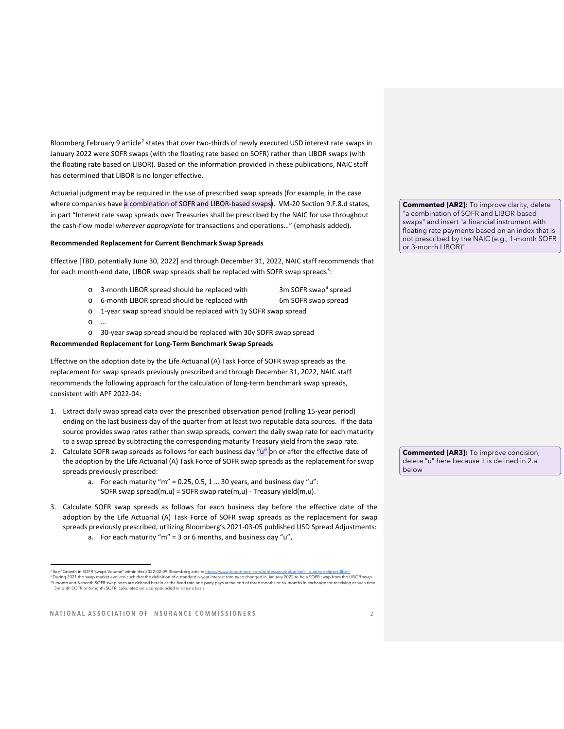Bloomberg February 9 article<sup>[2](#page-1-0)</sup> states that over two-thirds of newly executed USD interest rate swaps in January 2022 were SOFR swaps (with the floating rate based on SOFR) rather than LIBOR swaps (with the floating rate based on LIBOR). Based on the information provided in these publications, NAIC staff has determined that LIBOR is no longer effective.

Actuarial judgment may be required in the use of prescribed swap spreads (for example, in the case where companies have a combination of SOFR and LIBOR-based swaps). VM-20 Section 9.F.8.d states, in part "Interest rate swap spreads over Treasuries shall be prescribed by the NAIC for use throughout the cash-flow model *wherever appropriate* for transactions and operations…" (emphasis added).

## **Recommended Replacement for Current Benchmark Swap Spreads**

Effective [TBD, potentially June 30, 2022] and through December 31, 2022, NAIC staff recommends that for each month-end date, LIBOR swap spreads shall be replaced with SOFR swap spreads<sup>[3](#page-1-1)</sup>:

- o 3-month LIBOR spread should be replaced with 3m SOFR swap[4](#page-1-2) spread
- o 6-month LIBOR spread should be replaced with 6m SOFR swap spread
- o 1-year swap spread should be replaced with 1y SOFR swap spread
- $\Omega$
- o 30-year swap spread should be replaced with 30y SOFR swap spread

#### **Recommended Replacement for Long-Term Benchmark Swap Spreads**

Effective on the adoption date by the Life Actuarial (A) Task Force of SOFR swap spreads as the replacement for swap spreads previously prescribed and through December 31, 2022, NAIC staff recommends the following approach for the calculation of long-term benchmark swap spreads, consistent with APF 2022-04:

- 1. Extract daily swap spread data over the prescribed observation period (rolling 15-year period) ending on the last business day of the quarter from at least two reputable data sources. If the data source provides swap rates rather than swap spreads, convert the daily swap rate for each maturity to a swap spread by subtracting the corresponding maturity Treasury yield from the swap rate.
- 2. Calculate SOFR swap spreads as follows for each business day " $u$ " on or after the effective date of the adoption by the Life Actuarial (A) Task Force of SOFR swap spreads as the replacement for swap spreads previously prescribed:
	- a. For each maturity "m" =  $0.25$ ,  $0.5$ ,  $1 \dots 30$  years, and business day "u": SOFR swap spread(m,u) = SOFR swap rate(m,u) - Treasury yield(m,u).
- 3. Calculate SOFR swap spreads as follows for each business day before the effective date of the adoption by the Life Actuarial (A) Task Force of SOFR swap spreads as the replacement for swap spreads previously prescribed, utilizing Bloomberg's 2021-03-05 published USD Spread Adjustments: a. For each maturity " $m'' = 3$  or 6 months, and business day " $u''$ ,

**Commented [AR2]:** To improve clarity, delete "a combination of SOFR and LIBOR-based swaps" and insert "a financial instrument with floating rate payments based on an index that is not prescribed by the NAIC (e.g., 1-month SOFR or 3-month LIBOR)"

**Commented [AR3]:** To improve concision, delete "u" here because it is defined in 2.a below

<span id="page-1-2"></span><span id="page-1-1"></span><span id="page-1-0"></span><sup>&</sup>lt;sup>2</sup> See "Growth in SOFR Swaps Volume" within this 2022-02-09 Bloomberg article: <u>https</u> <sup>3</sup> During 2021 the swap market evolved such that the definition of a standard n-year interest rate swap changed in January 2022 to be a SOFR swap from the LIBOR swap. 43-month and 6-month SOFR swap rates are defined herein as the fixed rate one party pays at the end of three months or six months or six months or six months or six months or six months in exchange for receiving at such ti 3-month SOFR or 6-month SOFR, calculated on a compounded in arrears basis.